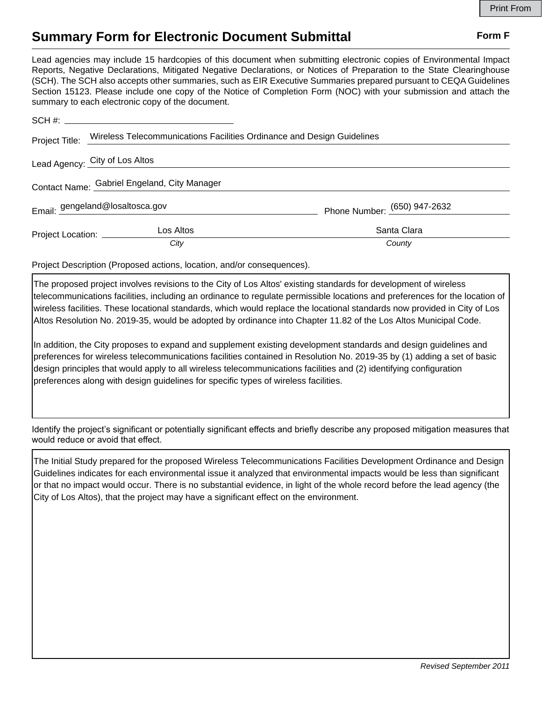## **Summary Form for Electronic Document Submittal Form F Form F**

Lead agencies may include 15 hardcopies of this document when submitting electronic copies of Environmental Impact Reports, Negative Declarations, Mitigated Negative Declarations, or Notices of Preparation to the State Clearinghouse (SCH). The SCH also accepts other summaries, such as EIR Executive Summaries prepared pursuant to CEQA Guidelines Section 15123. Please include one copy of the Notice of Completion Form (NOC) with your submission and attach the summary to each electronic copy of the document.

|                                              | Project Title: Wireless Telecommunications Facilities Ordinance and Design Guidelines |                              |
|----------------------------------------------|---------------------------------------------------------------------------------------|------------------------------|
|                                              | Lead Agency: City of Los Altos                                                        |                              |
| Contact Name: Gabriel Engeland, City Manager |                                                                                       |                              |
|                                              | Email: gengeland@losaltosca.gov                                                       | Phone Number: (650) 947-2632 |
| Project Location: __________                 | Los Altos                                                                             | Santa Clara                  |
|                                              | City                                                                                  | County                       |

Project Description (Proposed actions, location, and/or consequences).

The proposed project involves revisions to the City of Los Altos' existing standards for development of wireless telecommunications facilities, including an ordinance to regulate permissible locations and preferences for the location of wireless facilities. These locational standards, which would replace the locational standards now provided in City of Los Altos Resolution No. 2019-35, would be adopted by ordinance into Chapter 11.82 of the Los Altos Municipal Code.

In addition, the City proposes to expand and supplement existing development standards and design guidelines and preferences for wireless telecommunications facilities contained in Resolution No. 2019-35 by (1) adding a set of basic design principles that would apply to all wireless telecommunications facilities and (2) identifying configuration preferences along with design guidelines for specific types of wireless facilities.

Identify the project's significant or potentially significant effects and briefly describe any proposed mitigation measures that would reduce or avoid that effect.

The Initial Study prepared for the proposed Wireless Telecommunications Facilities Development Ordinance and Design Guidelines indicates for each environmental issue it analyzed that environmental impacts would be less than significant or that no impact would occur. There is no substantial evidence, in light of the whole record before the lead agency (the City of Los Altos), that the project may have a significant effect on the environment.